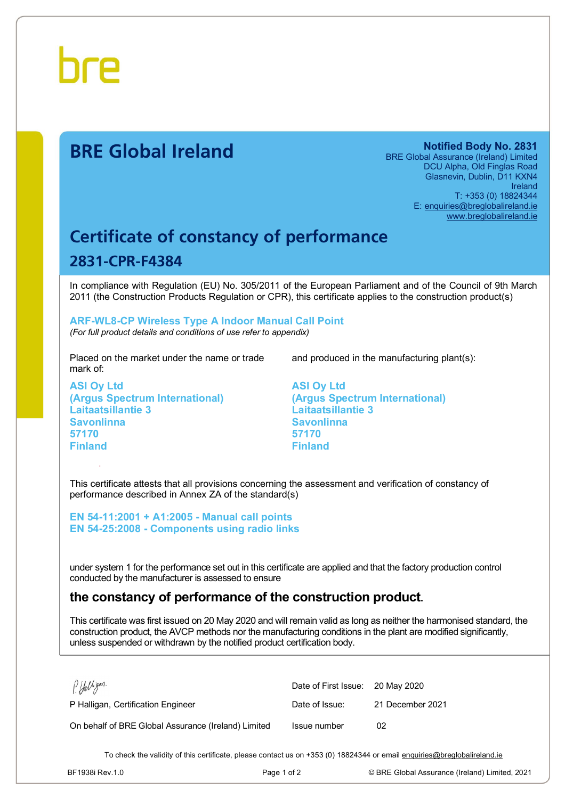

# **BRE Global Ireland Notified Body No. 2831**

BRE Global Assurance (Ireland) Limited DCU Alpha, Old Finglas Road Glasnevin, Dublin, D11 KXN4 Ireland T: +353 (0) 18824344 E: [enquiries@breglobalireland.ie](mailto:enquiries@breglobalireland.ie) [www.breglobalireland.ie](http://www.breglobalireland.ie)

# **Certificate of constancy of performance 2831-CPR-F4384**

In compliance with Regulation (EU) No. 305/2011 of the European Parliament and of the Council of 9th March 2011 (the Construction Products Regulation or CPR), this certificate applies to the construction product(s)

### **ARF-WL8-CP Wireless Type A Indoor Manual Call Point**  *(For full product details and conditions of use refer to appendix)*

Placed on the market under the name or trade mark of:

**ASI Oy Ltd (Argus Spectrum International) Laitaatsillantie 3 Savonlinna 57170 Finland** 

and produced in the manufacturing plant(s):

**ASI Oy Ltd (Argus Spectrum International) Laitaatsillantie 3 Savonlinna 57170 Finland** 

This certificate attests that all provisions concerning the assessment and verification of constancy of performance described in Annex ZA of the standard(s)

**EN 54-11:2001 + A1:2005 - Manual call points EN 54-25:2008 - Components using radio links** 

under system 1 for the performance set out in this certificate are applied and that the factory production control conducted by the manufacturer is assessed to ensure

# **the constancy of performance of the construction product.**

This certificate was first issued on 20 May 2020 and will remain valid as long as neither the harmonised standard, the construction product, the AVCP methods nor the manufacturing conditions in the plant are modified significantly, unless suspended or withdrawn by the notified product certification body.

| P. Halligan.                                        | Date of First Issue: 20 May 2020 |                  |
|-----------------------------------------------------|----------------------------------|------------------|
| P Halligan, Certification Engineer                  | Date of Issue:                   | 21 December 2021 |
| On behalf of BRE Global Assurance (Ireland) Limited | Issue number                     | 02               |

To check the validity of this certificate, please contact us on +353 (0) 18824344 or email [enquiries@breglobalireland.ie](mailto:enquiries@breglobalireland.ie)